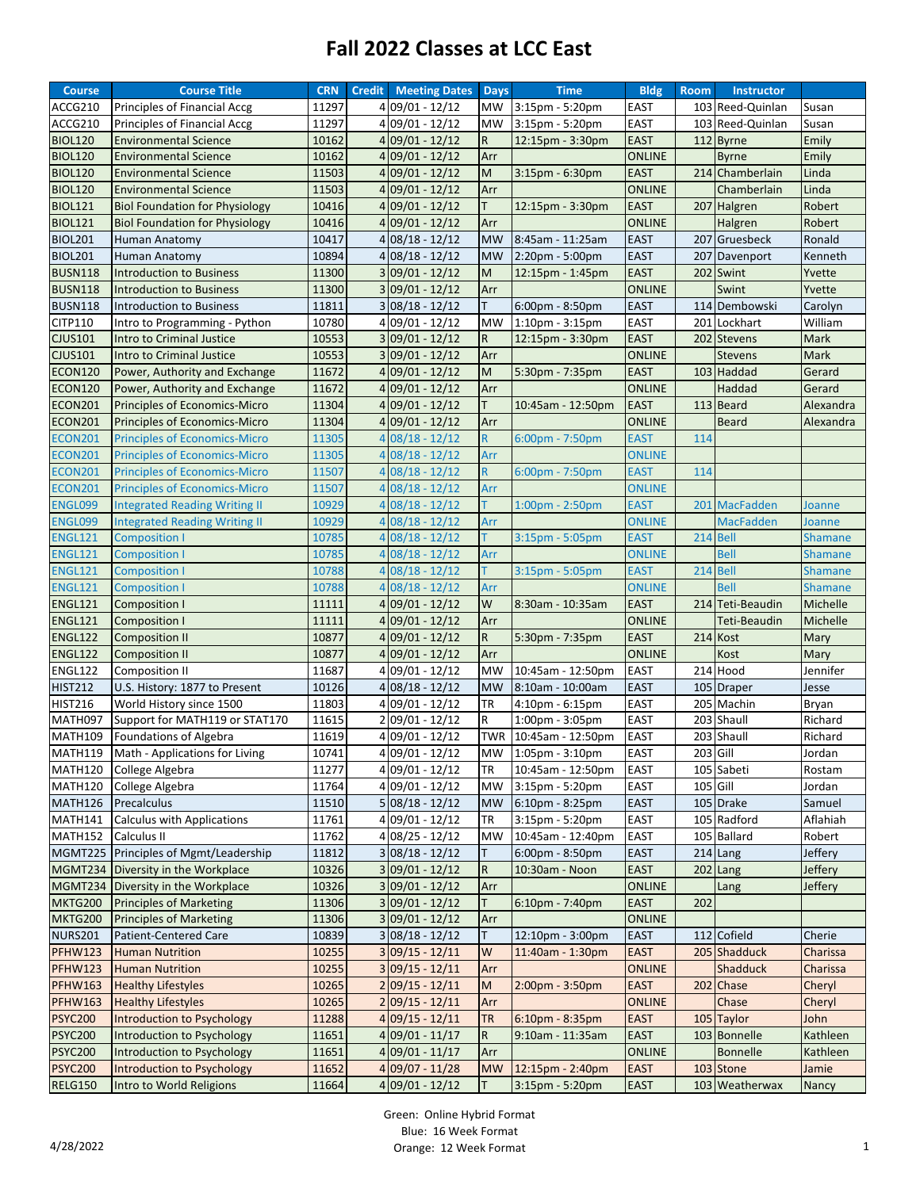## **Fall 2022 Classes at LCC East**

| <b>Course</b>             | <b>Course Title</b>                                      | <b>CRN</b>     | <b>Credit</b> | <b>Meeting Dates</b> | <b>Days</b>     | <b>Time</b>                                | <b>Bldg</b>         | <b>Room</b> | <b>Instructor</b> |                    |
|---------------------------|----------------------------------------------------------|----------------|---------------|----------------------|-----------------|--------------------------------------------|---------------------|-------------|-------------------|--------------------|
| ACCG210                   | Principles of Financial Accg                             | 11297          |               | 4 09/01 - 12/12      | MW              | 3:15pm - 5:20pm                            | EAST                |             | 103 Reed-Quinlan  | Susan              |
| ACCG210                   | Principles of Financial Accg                             | 11297          |               | 4 09/01 - 12/12      | MW              | 3:15pm - 5:20pm                            | <b>EAST</b>         |             | 103 Reed-Quinlan  | Susan              |
| <b>BIOL120</b>            | <b>Environmental Science</b>                             | 10162          |               | $4 09/01 - 12/12$    | $\mathsf{R}$    | 12:15pm - 3:30pm                           | <b>EAST</b>         |             | 112 Byrne         | Emily              |
| <b>BIOL120</b>            | <b>Environmental Science</b>                             | 10162          |               | 4 09/01 - 12/12      | Arr             |                                            | <b>ONLINE</b>       |             | <b>Byrne</b>      | Emily              |
| <b>BIOL120</b>            | <b>Environmental Science</b>                             | 11503          |               | 4 09/01 - 12/12      | M               | $3:15$ pm - $6:30$ pm                      | <b>EAST</b>         |             | 214 Chamberlain   | Linda              |
| <b>BIOL120</b>            | <b>Environmental Science</b>                             | 11503          |               | 4 09/01 - 12/12      | Arr             |                                            | <b>ONLINE</b>       |             | Chamberlain       | Linda              |
| <b>BIOL121</b>            | <b>Biol Foundation for Physiology</b>                    | 10416          |               | $4 09/01 - 12/12$    | Τ               | 12:15pm - 3:30pm                           | <b>EAST</b>         |             | 207 Halgren       | Robert             |
| <b>BIOL121</b>            | <b>Biol Foundation for Physiology</b>                    | 10416          |               | 4 09/01 - 12/12      | Arr             |                                            | <b>ONLINE</b>       |             | Halgren           | Robert             |
| <b>BIOL201</b>            | Human Anatomy                                            | 10417          |               | $4 08/18 - 12/12$    | <b>MW</b>       | 8:45am - 11:25am                           | <b>EAST</b>         |             | 207 Gruesbeck     | Ronald             |
| <b>BIOL201</b>            | Human Anatomy                                            | 10894          |               | $4 08/18 - 12/12$    | <b>MW</b>       | 2:20pm - 5:00pm                            | <b>EAST</b>         |             | 207 Davenport     | Kenneth            |
| <b>BUSN118</b>            | <b>Introduction to Business</b>                          | 11300          |               | $3 09/01 - 12/12$    | M               | 12:15pm - 1:45pm                           | <b>EAST</b>         |             | 202 Swint         | Yvette             |
| <b>BUSN118</b>            | <b>Introduction to Business</b>                          | 11300          |               | $3 09/01 - 12/12$    | Arr             |                                            | <b>ONLINE</b>       |             | Swint             | Yvette             |
| <b>BUSN118</b>            | Introduction to Business                                 | 11811          |               | $3 08/18 - 12/12$    | T.              | $6:00$ pm - $8:50$ pm                      | <b>EAST</b>         |             | 114 Dembowski     | Carolyn            |
| CITP110                   | Intro to Programming - Python                            | 10780          |               | 4 09/01 - 12/12      | MW              | 1:10pm - 3:15pm                            | <b>EAST</b>         |             | 201 Lockhart      | William            |
| <b>CJUS101</b>            | Intro to Criminal Justice                                | 10553          |               | $3 09/01 - 12/12$    | R               | 12:15pm - 3:30pm                           | <b>EAST</b>         |             | 202 Stevens       | <b>Mark</b>        |
| <b>CJUS101</b>            | Intro to Criminal Justice                                | 10553          |               | $3 09/01 - 12/12$    | Arr             |                                            | <b>ONLINE</b>       |             | <b>Stevens</b>    | Mark               |
| <b>ECON120</b>            | Power, Authority and Exchange                            | 11672          |               | 4 09/01 - 12/12      | M               | 5:30pm - 7:35pm                            | <b>EAST</b>         |             | 103 Haddad        | Gerard             |
| <b>ECON120</b>            | Power, Authority and Exchange                            | 11672          |               | 4 09/01 - 12/12      | Arr             |                                            | <b>ONLINE</b>       |             | Haddad            | Gerard             |
| ECON201                   | <b>Principles of Economics-Micro</b>                     | 11304          |               | $4 09/01 - 12/12$    | Τ               | 10:45am - 12:50pm                          | <b>EAST</b>         |             | 113 Beard         | Alexandra          |
| <b>ECON201</b>            | <b>Principles of Economics-Micro</b>                     | 11304          |               | 4 09/01 - 12/12      | Arr             |                                            | <b>ONLINE</b>       |             | <b>Beard</b>      | Alexandra          |
| <b>ECON201</b>            | <b>Principles of Economics-Micro</b>                     | 11305          |               | $408/18 - 12/12$     | $\mathsf{R}$    | $6:00$ pm - 7:50pm                         | <b>EAST</b>         | 114         |                   |                    |
| <b>ECON201</b>            | <b>Principles of Economics-Micro</b>                     | 11305          |               | $408/18 - 12/12$     | Arr             |                                            | <b>ONLINE</b>       |             |                   |                    |
| <b>ECON201</b>            | <b>Principles of Economics-Micro</b>                     | 11507          |               | $408/18 - 12/12$     | R               | $6:00$ pm - 7:50pm                         | <b>EAST</b>         | 114         |                   |                    |
| <b>ECON201</b>            | <b>Principles of Economics-Micro</b>                     | 11507          |               | $4 08/18 - 12/12$    | Arr             |                                            | <b>ONLINE</b>       |             |                   |                    |
| ENGL099                   | <b>Integrated Reading Writing II</b>                     | 10929          |               | $408/18 - 12/12$     | T.              | $1:00 \text{pm} - 2:50 \text{pm}$          | <b>EAST</b>         |             | 201 MacFadden     | Joanne             |
| ENGL099                   | <b>Integrated Reading Writing II</b>                     | 10929          |               | $4 08/18 - 12/12$    | Arr             |                                            | <b>ONLINE</b>       |             | <b>MacFadden</b>  | Joanne             |
| <b>ENGL121</b>            | <b>Composition I</b>                                     | 10785          |               | 4 08/18 - 12/12      | T.              | 3:15pm - 5:05pm                            | <b>EAST</b>         | 214         | <b>Bell</b>       | <b>Shamane</b>     |
| <b>ENGL121</b>            | <b>Composition I</b>                                     | 10785          |               | $408/18 - 12/12$     | Arr             |                                            | <b>ONLINE</b>       |             | <b>Bell</b>       | <b>Shamane</b>     |
| <b>ENGL121</b>            | <b>Composition I</b>                                     | 10788          |               | $408/18 - 12/12$     | T.              | $3:15$ pm - 5:05pm                         | <b>EAST</b>         |             | 214 Bell          | <b>Shamane</b>     |
| <b>ENGL121</b>            | <b>Composition I</b>                                     | 10788          |               | $408/18 - 12/12$     | Arr             |                                            | <b>ONLINE</b>       |             | <b>Bell</b>       | <b>Shamane</b>     |
| <b>ENGL121</b>            | Composition I                                            | 11111          |               | $4 09/01 - 12/12$    | W               | 8:30am - 10:35am                           | <b>EAST</b>         |             | 214 Teti-Beaudin  | Michelle           |
| <b>ENGL121</b>            | <b>Composition I</b>                                     | 11111          |               | $4 09/01 - 12/12$    | Arr             |                                            | <b>ONLINE</b>       |             | Teti-Beaudin      | Michelle           |
| <b>ENGL122</b>            | <b>Composition II</b>                                    | 10877          |               | $4 09/01 - 12/12$    | $\mathsf{R}$    | 5:30pm - 7:35pm                            | <b>EAST</b>         |             | 214 Kost          | Mary               |
| <b>ENGL122</b>            | <b>Composition II</b>                                    | 10877          |               | 4 09/01 - 12/12      | Arr             |                                            | <b>ONLINE</b>       |             | Kost              |                    |
| <b>ENGL122</b>            | <b>Composition II</b>                                    | 11687          |               | 4 09/01 - 12/12      | <b>MW</b>       | 10:45am - 12:50pm                          | <b>EAST</b>         |             | 214 Hood          | Mary<br>Jennifer   |
| <b>HIST212</b>            | U.S. History: 1877 to Present                            | 10126          |               | $4 08/18 - 12/12$    | <b>MW</b>       | 8:10am - 10:00am                           | <b>EAST</b>         |             | 105 Draper        | Jesse              |
| <b>HIST216</b>            | World History since 1500                                 | 11803          |               | 4 09/01 - 12/12      | TR              | 4:10pm - 6:15pm                            | EAST                |             | 205 Machin        |                    |
|                           |                                                          |                |               | 2 09/01 - 12/12      | R               |                                            |                     |             | 203 Shaull        | Bryan              |
| MATH097<br><b>MATH109</b> | Support for MATH119 or STAT170<br>Foundations of Algebra | 11615<br>11619 |               | 4 09/01 - 12/12      |                 | 1:00pm - 3:05pm<br>TWR   10:45am - 12:50pm | EAST<br><b>EAST</b> |             | 203 Shaull        | Richard<br>Richard |
|                           | MATH119 Math - Applications for Living                   | 10741          |               | 4 09/01 - 12/12      |                 | MW 1:05pm - 3:10pm                         | EAST                | 203 Gill    |                   |                    |
|                           |                                                          |                |               | 4 09/01 - 12/12      |                 |                                            |                     |             |                   | Jordan<br>Rostam   |
| MATH120<br>MATH120        | College Algebra                                          | 11277<br>11764 |               | 4 09/01 - 12/12      | TR              | 10:45am - 12:50pm                          | <b>EAST</b>         | $105$ Gill  | 105 Sabeti        |                    |
|                           | College Algebra<br>Precalculus                           | 11510          |               |                      | MW<br><b>MW</b> | 3:15pm - 5:20pm                            | <b>EAST</b>         |             | 105 Drake         | Jordan             |
| MATH126                   | <b>Calculus with Applications</b>                        |                |               | $5 08/18 - 12/12$    |                 | $6:10$ pm - $8:25$ pm                      | EAST                |             | 105 Radford       | Samuel             |
| MATH141                   |                                                          | 11761<br>11762 |               | 4 09/01 - 12/12      | ΤR              | 3:15pm - 5:20pm                            | EAST<br><b>EAST</b> |             | 105 Ballard       | Aflahiah           |
| MATH152                   | Calculus II<br>Principles of Mgmt/Leadership             | 11812          |               | 4 08/25 - 12/12      | MW              | 10:45am - 12:40pm                          | EAST                |             |                   | Robert             |
| MGMT225                   |                                                          |                |               | $3 08/18 - 12/12$    | T.              | $6:00 \text{pm} - 8:50 \text{pm}$          |                     |             | 214 Lang          | Jeffery            |
| MGMT234                   | Diversity in the Workplace                               | 10326          |               | $3 09/01 - 12/12$    | ${\sf R}$       | 10:30am - Noon                             | <b>EAST</b>         |             | $202$ Lang        | Jeffery            |
| MGMT234                   | Diversity in the Workplace                               | 10326          |               | $3 09/01 - 12/12$    | Arr             |                                            | <b>ONLINE</b>       |             | Lang              | Jeffery            |
| <b>MKTG200</b>            | <b>Principles of Marketing</b>                           | 11306          |               | $3 09/01 - 12/12$    | T.              | $6:10$ pm - 7:40pm                         | <b>EAST</b>         | 202         |                   |                    |
| <b>MKTG200</b>            | <b>Principles of Marketing</b>                           | 11306          |               | $3 09/01 - 12/12$    | Arr             |                                            | <b>ONLINE</b>       |             |                   |                    |
| <b>NURS201</b>            | <b>Patient-Centered Care</b>                             | 10839          |               | $3 08/18 - 12/12$    | Τ               | 12:10pm - 3:00pm                           | <b>EAST</b>         |             | 112 Cofield       | Cherie             |
| <b>PFHW123</b>            | <b>Human Nutrition</b>                                   | 10255          |               | $3 09/15 - 12/11$    | W               | 11:40am - 1:30pm                           | <b>EAST</b>         |             | 205 Shadduck      | Charissa           |
| <b>PFHW123</b>            | <b>Human Nutrition</b>                                   | 10255          |               | $3 09/15 - 12/11$    | Arr             |                                            | <b>ONLINE</b>       |             | <b>Shadduck</b>   | Charissa           |
| <b>PFHW163</b>            | <b>Healthy Lifestyles</b>                                | 10265          |               | $2 09/15 - 12/11$    | M               | 2:00pm - 3:50pm                            | <b>EAST</b>         |             | 202 Chase         | Cheryl             |
| <b>PFHW163</b>            | <b>Healthy Lifestyles</b>                                | 10265          |               | $2 09/15 - 12/11$    | Arr             |                                            | <b>ONLINE</b>       |             | Chase             | Cheryl             |
| <b>PSYC200</b>            | <b>Introduction to Psychology</b>                        | 11288          |               | $4 09/15 - 12/11$    | TR              | 6:10pm - 8:35pm                            | <b>EAST</b>         |             | 105 Taylor        | John               |
| <b>PSYC200</b>            | Introduction to Psychology                               | 11651          |               | $4 09/01 - 11/17$    | R               | 9:10am - 11:35am                           | <b>EAST</b>         |             | 103 Bonnelle      | Kathleen           |
| <b>PSYC200</b>            | Introduction to Psychology                               | 11651          |               | $4 09/01 - 11/17$    | Arr             |                                            | <b>ONLINE</b>       |             | <b>Bonnelle</b>   | Kathleen           |
| <b>PSYC200</b>            | Introduction to Psychology                               | 11652          |               | $4 09/07 - 11/28$    | <b>MW</b>       | 12:15pm - 2:40pm                           | <b>EAST</b>         |             | 103 Stone         | Jamie              |
| <b>RELG150</b>            | Intro to World Religions                                 | 11664          |               | $4 09/01 - 12/12$    | T.              | 3:15pm - 5:20pm                            | <b>EAST</b>         |             | 103 Weatherwax    | Nancy              |